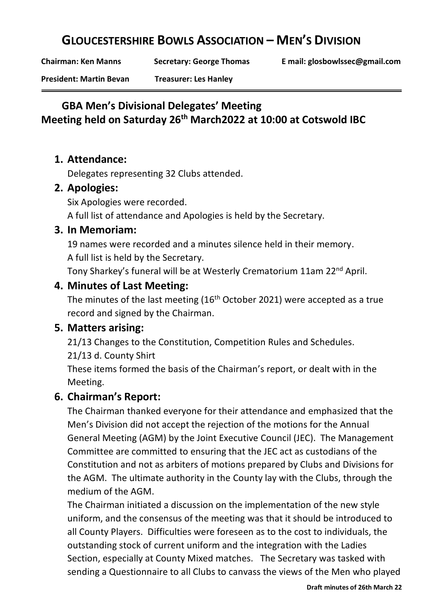# **GLOUCESTERSHIRE BOWLS ASSOCIATION – MEN'S DIVISION**

**Chairman: Ken Manns Secretary: George Thomas E mail: glosbowlssec@gmail.com**

**President: Martin Bevan Treasurer: Les Hanley**

# **GBA Men's Divisional Delegates' Meeting Meeting held on Saturday 26th March2022 at 10:00 at Cotswold IBC**

#### **1. Attendance:**

Delegates representing 32 Clubs attended.

#### **2. Apologies:**

Six Apologies were recorded.

A full list of attendance and Apologies is held by the Secretary.

#### **3. In Memoriam:**

19 names were recorded and a minutes silence held in their memory. A full list is held by the Secretary.

Tony Sharkey's funeral will be at Westerly Crematorium 11am 22nd April.

## **4. Minutes of Last Meeting:**

The minutes of the last meeting  $(16<sup>th</sup> October 2021)$  were accepted as a true record and signed by the Chairman.

# **5. Matters arising:**

21/13 Changes to the Constitution, Competition Rules and Schedules.

21/13 d. County Shirt

These items formed the basis of the Chairman's report, or dealt with in the Meeting.

#### **6. Chairman's Report:**

The Chairman thanked everyone for their attendance and emphasized that the Men's Division did not accept the rejection of the motions for the Annual General Meeting (AGM) by the Joint Executive Council (JEC). The Management Committee are committed to ensuring that the JEC act as custodians of the Constitution and not as arbiters of motions prepared by Clubs and Divisions for the AGM. The ultimate authority in the County lay with the Clubs, through the medium of the AGM.

The Chairman initiated a discussion on the implementation of the new style uniform, and the consensus of the meeting was that it should be introduced to all County Players. Difficulties were foreseen as to the cost to individuals, the outstanding stock of current uniform and the integration with the Ladies Section, especially at County Mixed matches. The Secretary was tasked with sending a Questionnaire to all Clubs to canvass the views of the Men who played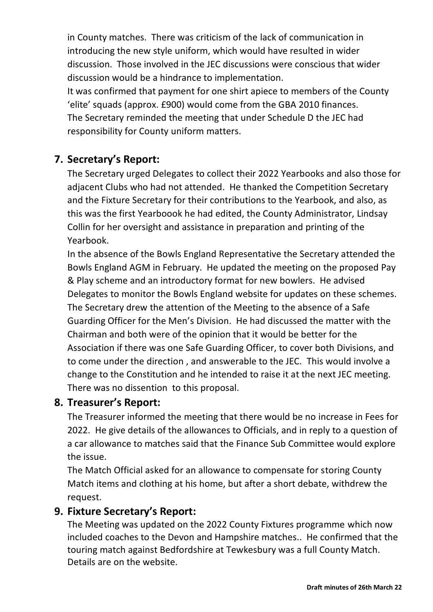in County matches. There was criticism of the lack of communication in introducing the new style uniform, which would have resulted in wider discussion. Those involved in the JEC discussions were conscious that wider discussion would be a hindrance to implementation.

It was confirmed that payment for one shirt apiece to members of the County 'elite' squads (approx. £900) would come from the GBA 2010 finances. The Secretary reminded the meeting that under Schedule D the JEC had responsibility for County uniform matters.

# **7. Secretary's Report:**

The Secretary urged Delegates to collect their 2022 Yearbooks and also those for adjacent Clubs who had not attended. He thanked the Competition Secretary and the Fixture Secretary for their contributions to the Yearbook, and also, as this was the first Yearboook he had edited, the County Administrator, Lindsay Collin for her oversight and assistance in preparation and printing of the Yearbook.

In the absence of the Bowls England Representative the Secretary attended the Bowls England AGM in February. He updated the meeting on the proposed Pay & Play scheme and an introductory format for new bowlers. He advised Delegates to monitor the Bowls England website for updates on these schemes. The Secretary drew the attention of the Meeting to the absence of a Safe Guarding Officer for the Men's Division. He had discussed the matter with the Chairman and both were of the opinion that it would be better for the Association if there was one Safe Guarding Officer, to cover both Divisions, and to come under the direction , and answerable to the JEC. This would involve a change to the Constitution and he intended to raise it at the next JEC meeting. There was no dissention to this proposal.

#### **8. Treasurer's Report:**

The Treasurer informed the meeting that there would be no increase in Fees for 2022. He give details of the allowances to Officials, and in reply to a question of a car allowance to matches said that the Finance Sub Committee would explore the issue.

The Match Official asked for an allowance to compensate for storing County Match items and clothing at his home, but after a short debate, withdrew the request.

#### **9. Fixture Secretary's Report:**

The Meeting was updated on the 2022 County Fixtures programme which now included coaches to the Devon and Hampshire matches.. He confirmed that the touring match against Bedfordshire at Tewkesbury was a full County Match. Details are on the website.